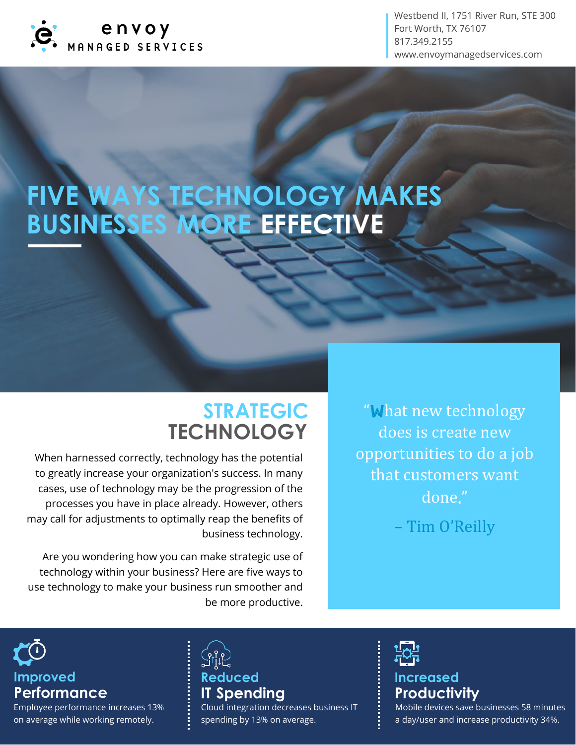

Westbend II, 1751 River Run, STE 300 Fort Worth, TX 76107 817.349.2155 www.envoymanagedservices.com

# FIVE WAYS TECHNOLOGY MAKES **BUSINESSES MORE EFFECTIVE**

### **STRATEGIC TECHNOLOGY**

When harnessed correctly, technology has the potential to greatly increase your organization's success. In many cases, use of technology may be the progression of the processes you have in place already. However, others may call for adjustments to optimally reap the benefits of business technology.

Are you wondering how you can make strategic use of technology within your business? Here are five ways to use technology to make your business run smoother and be more productive.

"What new technology does is create new opportunities to do a job that customers want done."

– Tim O'Reilly

**Performance** Improved

Employee performance increases 13% on average while working remotely.

## **IT Spending** Reduced

Cloud integration decreases business IT spending by 13% on average.

**Productivity** Increased Mobile devices save businesses 58 minutes a day/user and increase productivity 34%.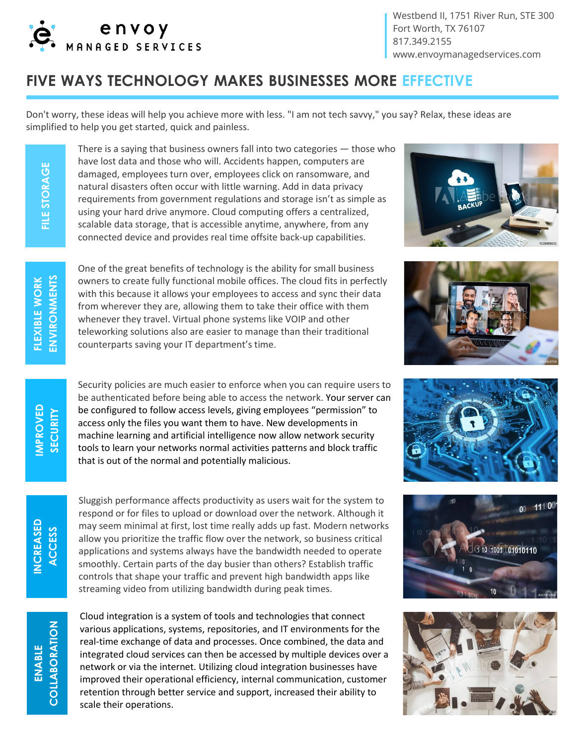

Westbend II, 1751 River Run, STE 300 Fort Worth, TX 76107 817.349.2155 www.envoymanagedservices.com

#### **FIVE WAYS TECHNOLOGY MAKES BUSINESSES MORE EFFECTIVE**

Don't worry, these ideas will help you achieve more with less. "I am not tech savvy," you say? Relax, these ideas are simplified to help you get started, quick and painless.

> There is a saying that business owners fall into two categories — those who have lost data and those who will. Accidents happen, computers are damaged, employees turn over, employees click on ransomware, and natural disasters often occur with little warning. Add in data privacy requirements from government regulations and storage isn't as simple as using your hard drive anymore. Cloud computing offers a centralized, scalable data storage, that is accessible anytime, anywhere, from any connected device and provides real time offsite back-up capabilities.

One of the great benefits of technology is the ability for small business owners to create fully functional mobile offices. The cloud fits in perfectly with this because it allows your employees to access and sync their data from wherever they are, allowing them to take their office with them whenever they travel. Virtual phone systems like VOIP and other teleworking solutions also are easier to manage than their traditional counterparts saving your IT department's time.



Sluggish performance affects productivity as users wait for the system to respond or for files to upload or download over the network. Although it may seem minimal at first, lost time really adds up fast. Modern networks allow you prioritize the traffic flow over the network, so business critical applications and systems always have the bandwidth needed to operate smoothly. Certain parts of the day busier than others? Establish traffic controls that shape your traffic and prevent high bandwidth apps like streaming video from utilizing bandwidth during peak times.

Cloud integration is a system of tools and technologies that connect various applications, systems, repositories, and IT environments for the real-time exchange of data and processes. Once combined, the data and integrated cloud services can then be accessed by multiple devices over a network or via the internet. Utilizing cloud integration businesses have improved their operational efficiency, internal communication, customer retention through better service and support, increased their ability to scale their operations.











COLLABORATION **COLLABORATION ENABLE** 

**IMPROVED SECURITY**

**FLEXIBLE WORK ENVIRONMENTS**

ENVIRONMENTS FLEXIBLE WORK

**FILE STORAGE**

FILE STORAGE

**INCREASED ACCESS**

**INCREASED**